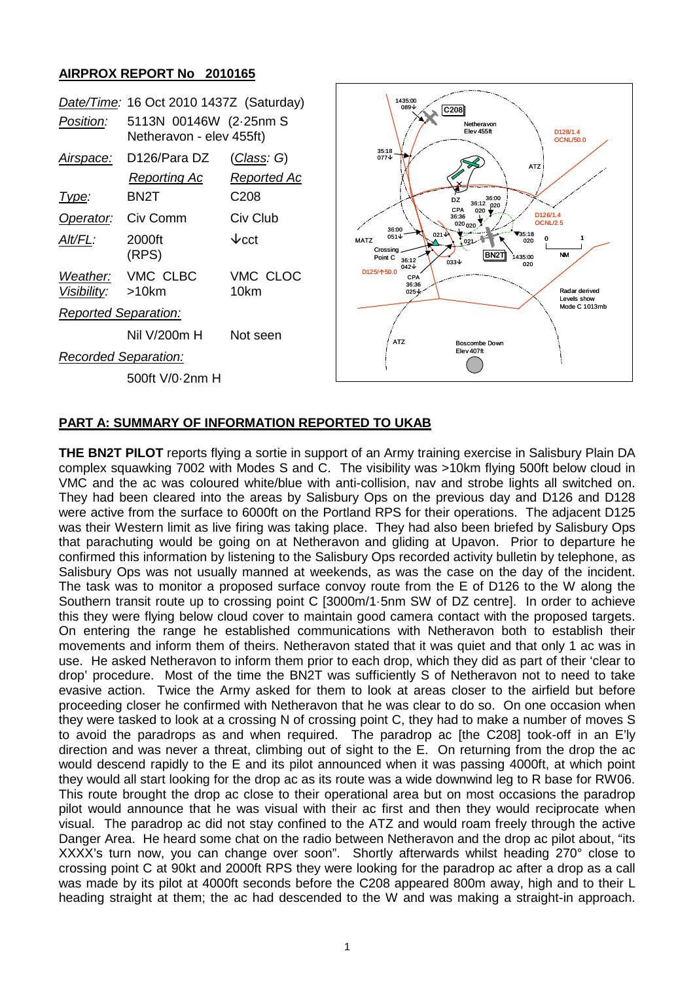## **AIRPROX REPORT No 2010165**

|                      | Date/Time: 16 Oct 2010 1437Z (Saturday)            |                                   |
|----------------------|----------------------------------------------------|-----------------------------------|
| Position:            | 5113N 00146W (2-25nm S<br>Netheravon - elev 455ft) |                                   |
| <u>Airspace:</u>     | D126/Para DZ<br>Reporting Ac                       | <u>(Class</u> : G)<br>Reported Ac |
| <u> I ype:</u>       | BN2T                                               | C208                              |
| Operator:            | Civ Comm                                           | Civ Club                          |
| Alt/FL:              | 2000ft<br>(RPS)                                    | $\mathcal{\Psi}$ cct              |
| Visibility:          | Weather: VMC CLBC<br>>10km                         | VMC CLOC<br>10km                  |
| Reported Separation: |                                                    |                                   |
|                      | Nil V/200m H                                       | Not seen                          |
| Recorded Separation: |                                                    |                                   |
|                      | 500ft V/0-2nm H                                    |                                   |



## **PART A: SUMMARY OF INFORMATION REPORTED TO UKAB**

**THE BN2T PILOT** reports flying a sortie in support of an Army training exercise in Salisbury Plain DA complex squawking 7002 with Modes S and C. The visibility was >10km flying 500ft below cloud in VMC and the ac was coloured white/blue with anti-collision, nav and strobe lights all switched on. They had been cleared into the areas by Salisbury Ops on the previous day and D126 and D128 were active from the surface to 6000ft on the Portland RPS for their operations. The adjacent D125 was their Western limit as live firing was taking place. They had also been briefed by Salisbury Ops that parachuting would be going on at Netheravon and gliding at Upavon. Prior to departure he confirmed this information by listening to the Salisbury Ops recorded activity bulletin by telephone, as Salisbury Ops was not usually manned at weekends, as was the case on the day of the incident. The task was to monitor a proposed surface convoy route from the E of D126 to the W along the Southern transit route up to crossing point C [3000m/1·5nm SW of DZ centre]. In order to achieve this they were flying below cloud cover to maintain good camera contact with the proposed targets. On entering the range he established communications with Netheravon both to establish their movements and inform them of theirs. Netheravon stated that it was quiet and that only 1 ac was in use. He asked Netheravon to inform them prior to each drop, which they did as part of their 'clear to drop' procedure. Most of the time the BN2T was sufficiently S of Netheravon not to need to take evasive action. Twice the Army asked for them to look at areas closer to the airfield but before proceeding closer he confirmed with Netheravon that he was clear to do so. On one occasion when they were tasked to look at a crossing N of crossing point C, they had to make a number of moves S to avoid the paradrops as and when required. The paradrop ac [the C208] took-off in an E'ly direction and was never a threat, climbing out of sight to the E. On returning from the drop the ac would descend rapidly to the E and its pilot announced when it was passing 4000ft, at which point they would all start looking for the drop ac as its route was a wide downwind leg to R base for RW06. This route brought the drop ac close to their operational area but on most occasions the paradrop pilot would announce that he was visual with their ac first and then they would reciprocate when visual. The paradrop ac did not stay confined to the ATZ and would roam freely through the active Danger Area. He heard some chat on the radio between Netheravon and the drop ac pilot about, "its XXXX's turn now, you can change over soon". Shortly afterwards whilst heading 270° close to crossing point C at 90kt and 2000ft RPS they were looking for the paradrop ac after a drop as a call was made by its pilot at 4000ft seconds before the C208 appeared 800m away, high and to their L heading straight at them; the ac had descended to the W and was making a straight-in approach.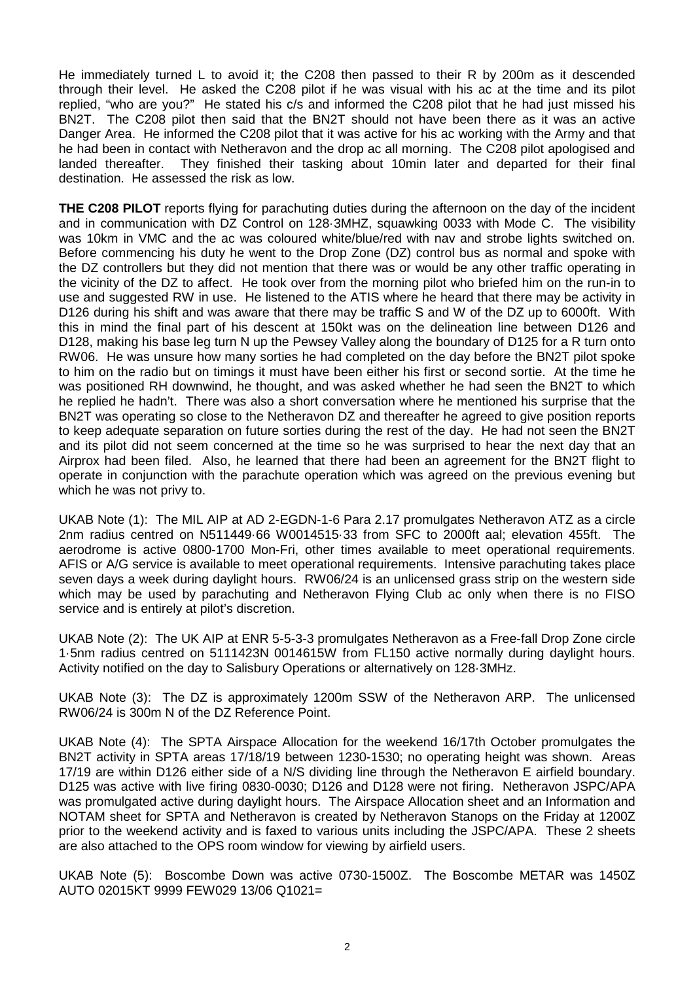He immediately turned L to avoid it; the C208 then passed to their R by 200m as it descended through their level. He asked the C208 pilot if he was visual with his ac at the time and its pilot replied, "who are you?" He stated his c/s and informed the C208 pilot that he had just missed his BN2T. The C208 pilot then said that the BN2T should not have been there as it was an active Danger Area. He informed the C208 pilot that it was active for his ac working with the Army and that he had been in contact with Netheravon and the drop ac all morning. The C208 pilot apologised and landed thereafter. They finished their tasking about 10min later and departed for their final destination. He assessed the risk as low.

**THE C208 PILOT** reports flying for parachuting duties during the afternoon on the day of the incident and in communication with DZ Control on 128·3MHZ, squawking 0033 with Mode C. The visibility was 10km in VMC and the ac was coloured white/blue/red with nav and strobe lights switched on. Before commencing his duty he went to the Drop Zone (DZ) control bus as normal and spoke with the DZ controllers but they did not mention that there was or would be any other traffic operating in the vicinity of the DZ to affect. He took over from the morning pilot who briefed him on the run-in to use and suggested RW in use. He listened to the ATIS where he heard that there may be activity in D126 during his shift and was aware that there may be traffic S and W of the DZ up to 6000ft. With this in mind the final part of his descent at 150kt was on the delineation line between D126 and D128, making his base leg turn N up the Pewsey Valley along the boundary of D125 for a R turn onto RW06. He was unsure how many sorties he had completed on the day before the BN2T pilot spoke to him on the radio but on timings it must have been either his first or second sortie. At the time he was positioned RH downwind, he thought, and was asked whether he had seen the BN2T to which he replied he hadn't. There was also a short conversation where he mentioned his surprise that the BN2T was operating so close to the Netheravon DZ and thereafter he agreed to give position reports to keep adequate separation on future sorties during the rest of the day. He had not seen the BN2T and its pilot did not seem concerned at the time so he was surprised to hear the next day that an Airprox had been filed. Also, he learned that there had been an agreement for the BN2T flight to operate in conjunction with the parachute operation which was agreed on the previous evening but which he was not privy to.

UKAB Note (1): The MIL AIP at AD 2-EGDN-1-6 Para 2.17 promulgates Netheravon ATZ as a circle 2nm radius centred on N511449·66 W0014515·33 from SFC to 2000ft aal; elevation 455ft. The aerodrome is active 0800-1700 Mon-Fri, other times available to meet operational requirements. AFIS or A/G service is available to meet operational requirements. Intensive parachuting takes place seven days a week during daylight hours. RW06/24 is an unlicensed grass strip on the western side which may be used by parachuting and Netheravon Flying Club ac only when there is no FISO service and is entirely at pilot's discretion.

UKAB Note (2): The UK AIP at ENR 5-5-3-3 promulgates Netheravon as a Free-fall Drop Zone circle 1·5nm radius centred on 5111423N 0014615W from FL150 active normally during daylight hours. Activity notified on the day to Salisbury Operations or alternatively on 128·3MHz.

UKAB Note (3): The DZ is approximately 1200m SSW of the Netheravon ARP. The unlicensed RW06/24 is 300m N of the DZ Reference Point.

UKAB Note (4): The SPTA Airspace Allocation for the weekend 16/17th October promulgates the BN2T activity in SPTA areas 17/18/19 between 1230-1530; no operating height was shown. Areas 17/19 are within D126 either side of a N/S dividing line through the Netheravon E airfield boundary. D125 was active with live firing 0830-0030; D126 and D128 were not firing. Netheravon JSPC/APA was promulgated active during daylight hours. The Airspace Allocation sheet and an Information and NOTAM sheet for SPTA and Netheravon is created by Netheravon Stanops on the Friday at 1200Z prior to the weekend activity and is faxed to various units including the JSPC/APA. These 2 sheets are also attached to the OPS room window for viewing by airfield users.

UKAB Note (5): Boscombe Down was active 0730-1500Z. The Boscombe METAR was 1450Z AUTO 02015KT 9999 FEW029 13/06 Q1021=